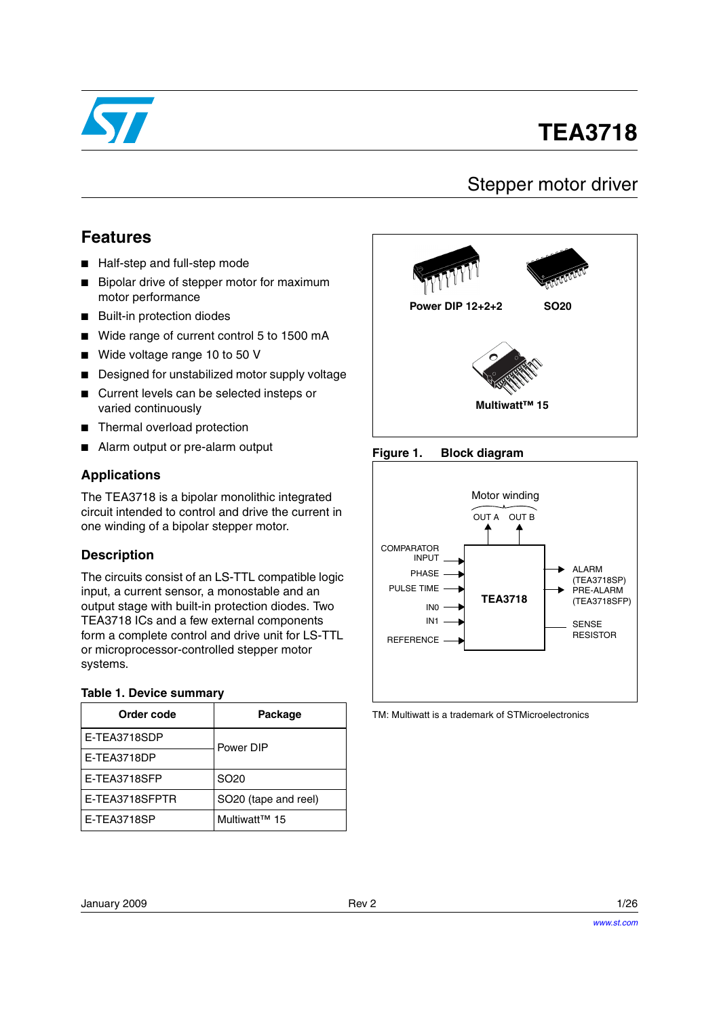

# **TEA3718**

## Stepper motor driver

## **Features**

- Half-step and full-step mode
- Bipolar drive of stepper motor for maximum motor performance
- Built-in protection diodes
- Wide range of current control 5 to 1500 mA
- Wide voltage range 10 to 50 V
- Designed for unstabilized motor supply voltage
- Current levels can be selected insteps or varied continuously
- Thermal overload protection
- Alarm output or pre-alarm output

#### **Applications**

The TEA3718 is a bipolar monolithic integrated circuit intended to control and drive the current in one winding of a bipolar stepper motor.

#### **Description**

The circuits consist of an LS-TTL compatible logic input, a current sensor, a monostable and an output stage with built-in protection diodes. Two TEA3718 ICs and a few external components form a complete control and drive unit for LS-TTL or microprocessor-controlled stepper motor systems.

#### **Table 1. Device summary**

| Order code     | Package                          |
|----------------|----------------------------------|
| E-TEA3718SDP   | Power DIP                        |
| E-TEA3718DP    |                                  |
| E-TEA3718SFP   | SO <sub>20</sub>                 |
| E-TEA3718SFPTR | SO <sub>20</sub> (tape and reel) |
| E-TEA3718SP    | Multiwatt <sup>™</sup> 15        |



#### <span id="page-0-0"></span>**Figure 1. Block diagram**



TM: Multiwatt is a trademark of STMicroelectronics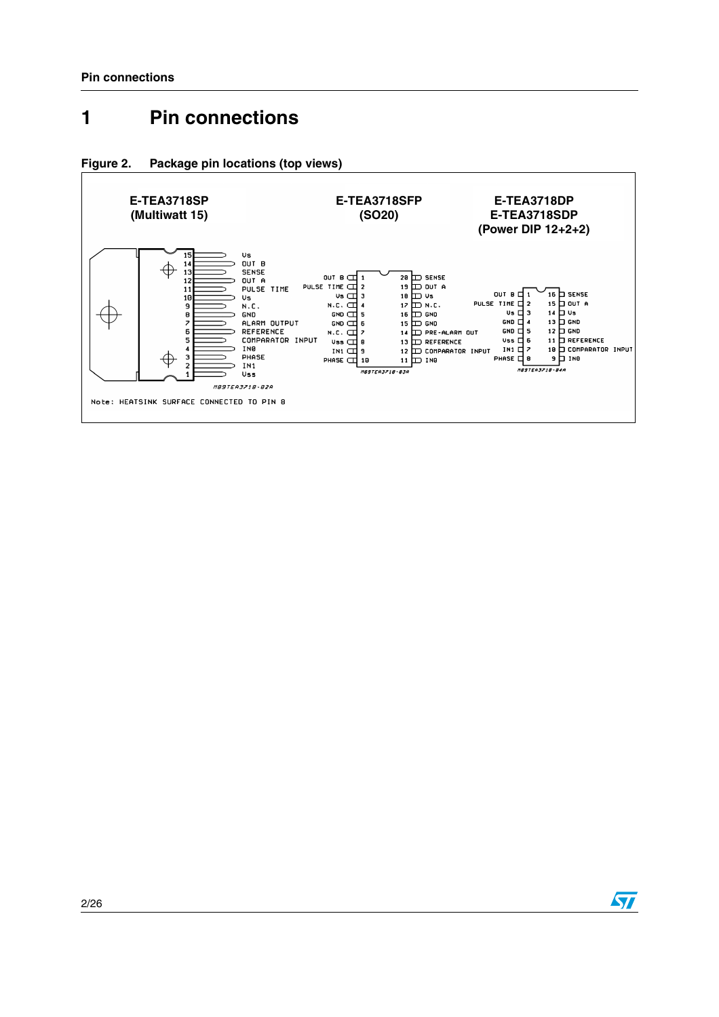# <span id="page-1-0"></span>**1 Pin connections**





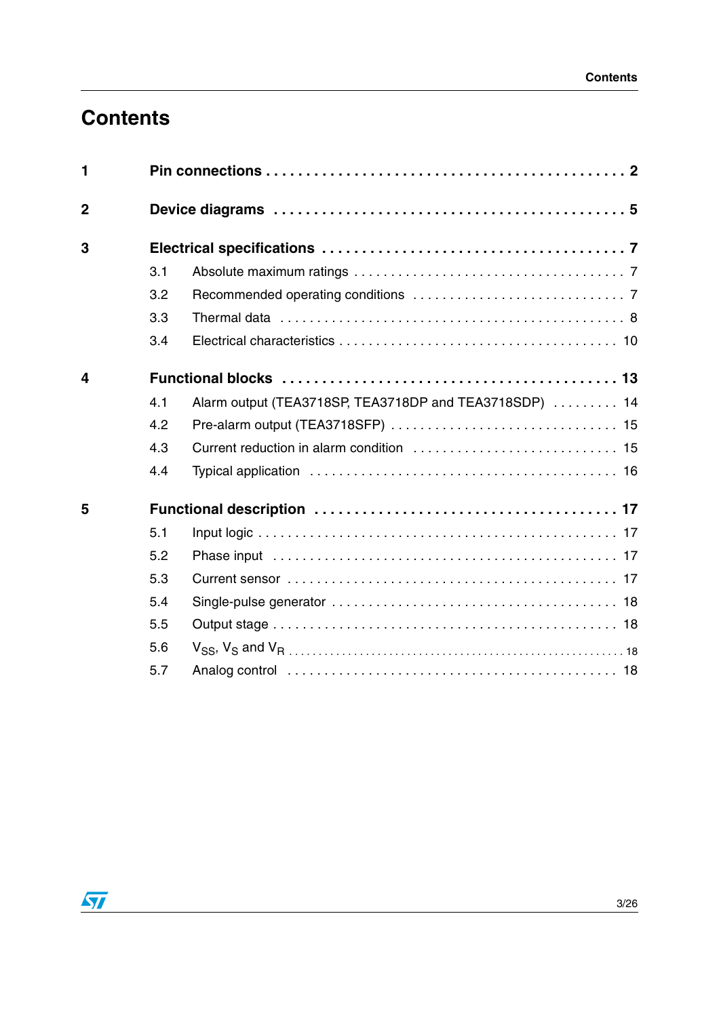# **Contents**

| 1                       |     |                                                        |
|-------------------------|-----|--------------------------------------------------------|
| $\overline{2}$          |     |                                                        |
| 3                       |     |                                                        |
|                         | 3.1 |                                                        |
|                         | 3.2 |                                                        |
|                         | 3.3 |                                                        |
|                         | 3.4 |                                                        |
| $\overline{\mathbf{4}}$ |     |                                                        |
|                         | 4.1 | Alarm output (TEA3718SP, TEA3718DP and TEA3718SDP)  14 |
|                         | 4.2 |                                                        |
|                         | 4.3 |                                                        |
|                         | 4.4 |                                                        |
| 5                       |     |                                                        |
|                         | 5.1 |                                                        |
|                         | 5.2 |                                                        |
|                         | 5.3 |                                                        |
|                         | 5.4 |                                                        |
|                         | 5.5 |                                                        |
|                         | 5.6 |                                                        |
|                         | 5.7 |                                                        |

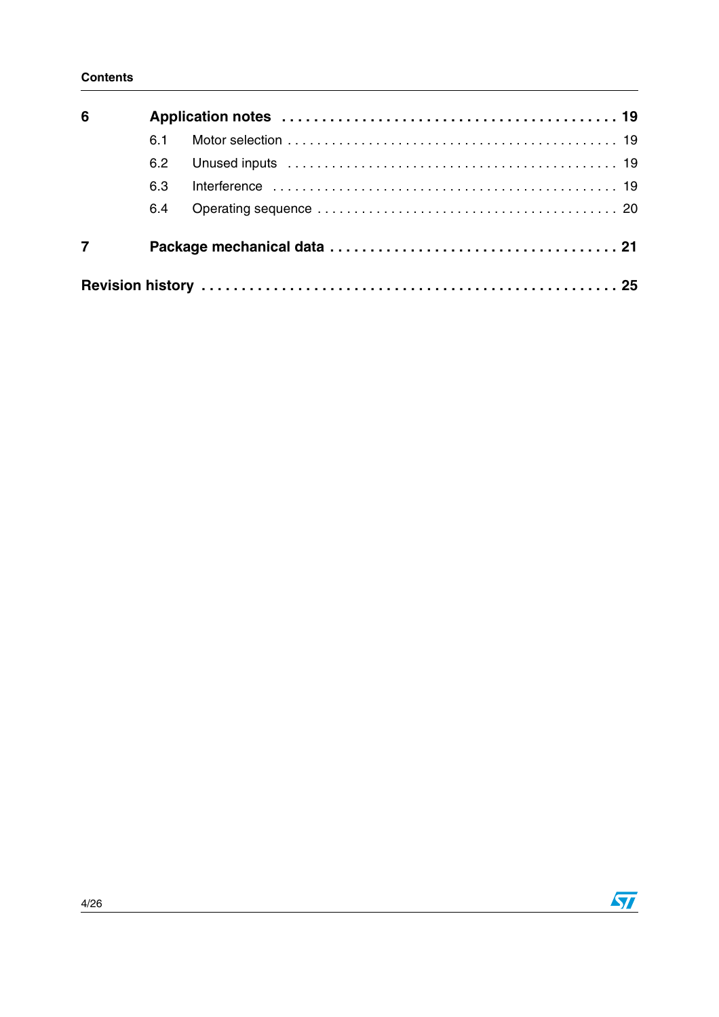| 6 |     |  |
|---|-----|--|
|   | 6.1 |  |
|   | 6.2 |  |
|   | 6.3 |  |
|   | 6.4 |  |
| 7 |     |  |
|   |     |  |

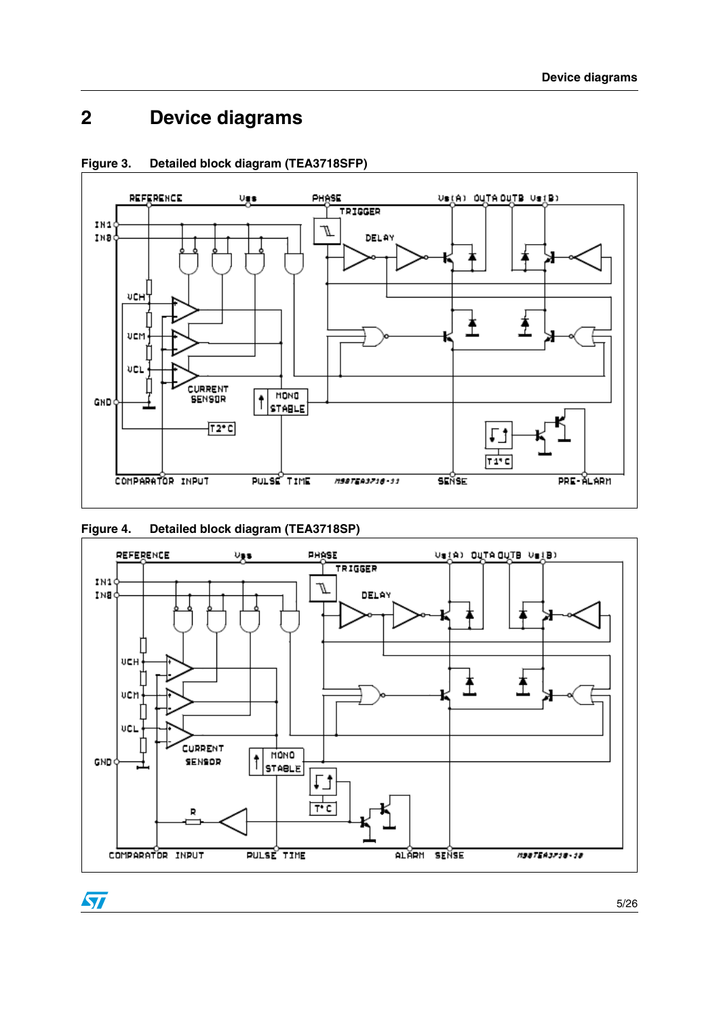# <span id="page-4-0"></span>**2 Device diagrams**





#### **Figure 4. Detailed block diagram (TEA3718SP)**



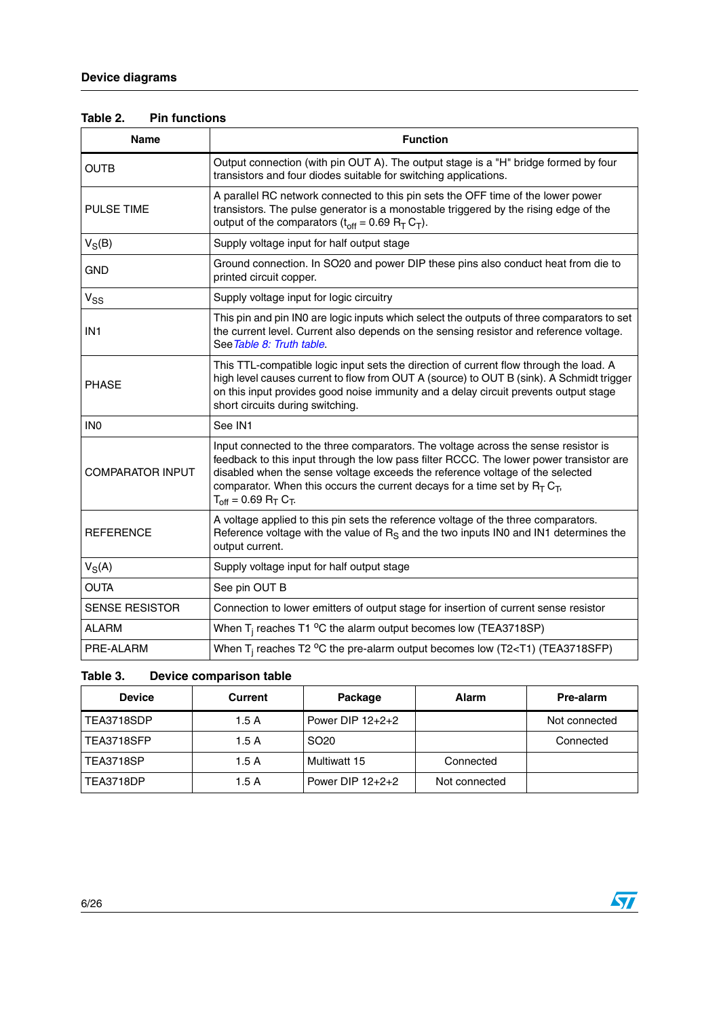| Table 2. | <b>Pin functions</b> |
|----------|----------------------|
|----------|----------------------|

| <b>Name</b>             | <b>Function</b>                                                                                                                                                                                                                                                                                                                                                               |
|-------------------------|-------------------------------------------------------------------------------------------------------------------------------------------------------------------------------------------------------------------------------------------------------------------------------------------------------------------------------------------------------------------------------|
| <b>OUTB</b>             | Output connection (with pin OUT A). The output stage is a "H" bridge formed by four<br>transistors and four diodes suitable for switching applications.                                                                                                                                                                                                                       |
| <b>PULSE TIME</b>       | A parallel RC network connected to this pin sets the OFF time of the lower power<br>transistors. The pulse generator is a monostable triggered by the rising edge of the<br>output of the comparators $(t_{off} = 0.69 R_T C_T)$ .                                                                                                                                            |
| $V_S(B)$                | Supply voltage input for half output stage                                                                                                                                                                                                                                                                                                                                    |
| <b>GND</b>              | Ground connection. In SO20 and power DIP these pins also conduct heat from die to<br>printed circuit copper.                                                                                                                                                                                                                                                                  |
| $V_{SS}$                | Supply voltage input for logic circuitry                                                                                                                                                                                                                                                                                                                                      |
| IN <sub>1</sub>         | This pin and pin IN0 are logic inputs which select the outputs of three comparators to set<br>the current level. Current also depends on the sensing resistor and reference voltage.<br>See Table 8: Truth table.                                                                                                                                                             |
| <b>PHASE</b>            | This TTL-compatible logic input sets the direction of current flow through the load. A<br>high level causes current to flow from OUT A (source) to OUT B (sink). A Schmidt trigger<br>on this input provides good noise immunity and a delay circuit prevents output stage<br>short circuits during switching.                                                                |
| IN <sub>0</sub>         | See IN1                                                                                                                                                                                                                                                                                                                                                                       |
| <b>COMPARATOR INPUT</b> | Input connected to the three comparators. The voltage across the sense resistor is<br>feedback to this input through the low pass filter RCCC. The lower power transistor are<br>disabled when the sense voltage exceeds the reference voltage of the selected<br>comparator. When this occurs the current decays for a time set by $RT CT$ ,<br>$T_{off}$ = 0.69 $R_T C_T$ . |
| <b>REFERENCE</b>        | A voltage applied to this pin sets the reference voltage of the three comparators.<br>Reference voltage with the value of $RS$ and the two inputs IN0 and IN1 determines the<br>output current.                                                                                                                                                                               |
| $V_S(A)$                | Supply voltage input for half output stage                                                                                                                                                                                                                                                                                                                                    |
| <b>OUTA</b>             | See pin OUT B                                                                                                                                                                                                                                                                                                                                                                 |
| <b>SENSE RESISTOR</b>   | Connection to lower emitters of output stage for insertion of current sense resistor                                                                                                                                                                                                                                                                                          |
| <b>ALARM</b>            | When $T_i$ reaches T1 °C the alarm output becomes low (TEA3718SP)                                                                                                                                                                                                                                                                                                             |
| PRE-ALARM               | When $T_i$ reaches T2 °C the pre-alarm output becomes low (T2 <t1) (tea3718sfp)<="" td=""></t1)>                                                                                                                                                                                                                                                                              |

#### **Table 3. Device comparison table**

| <b>Device</b>    | Current | Package            | <b>Alarm</b>  | Pre-alarm     |
|------------------|---------|--------------------|---------------|---------------|
| TEA3718SDP       | 1.5A    | Power DIP $12+2+2$ |               | Not connected |
| TEA3718SFP       | 1.5A    | SO <sub>20</sub>   |               | Connected     |
| <b>TEA3718SP</b> | 1.5A    | Multiwatt 15       | Connected     |               |
| <b>TEA3718DP</b> | 1.5A    | Power DIP $12+2+2$ | Not connected |               |

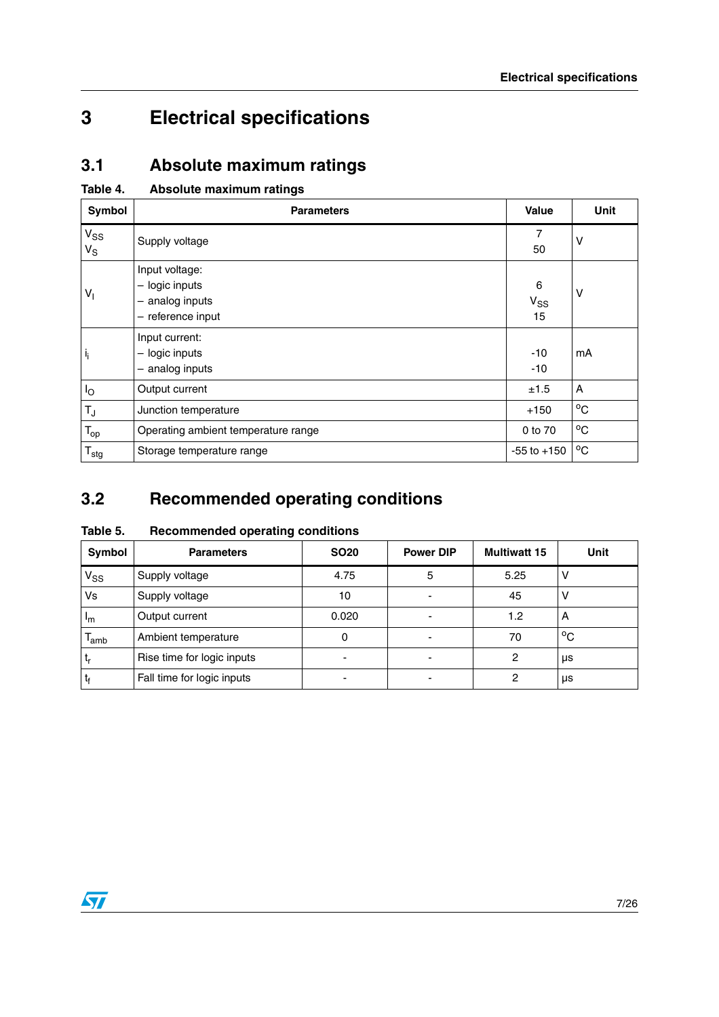# <span id="page-6-0"></span>**3 Electrical specifications**

# <span id="page-6-1"></span>**3.1 Absolute maximum ratings**

| Table 4. |  | Absolute maximum ratings |  |
|----------|--|--------------------------|--|
|----------|--|--------------------------|--|

| Symbol                     | <b>Parameters</b>                                                            | <b>Value</b>        | <b>Unit</b>  |
|----------------------------|------------------------------------------------------------------------------|---------------------|--------------|
| $V_{SS}$<br>$V_S$          | Supply voltage                                                               | 7<br>50             | ν            |
| $V_{\parallel}$            | Input voltage:<br>$-$ logic inputs<br>$-$ analog inputs<br>- reference input | 6<br>$V_{SS}$<br>15 | $\vee$       |
| $\mathbf{i}_{\mathbf{i}}$  | Input current:<br>- logic inputs<br>- analog inputs                          | $-10$<br>$-10$      | mA           |
| $I_{\rm O}$                | Output current                                                               | ±1.5                | A            |
| $T_J$                      | Junction temperature                                                         | $+150$              | $^{\circ}$ C |
| $\mathsf{T}_{\mathsf{op}}$ | Operating ambient temperature range                                          | 0 to 70             | $^{\circ}$ C |
| $T_{\text{stg}}$           | Storage temperature range                                                    | $-55$ to $+150$     | $^{\circ}$ C |

# <span id="page-6-2"></span>**3.2 Recommended operating conditions**

| Table 5. | <b>Recommended operating conditions</b> |  |
|----------|-----------------------------------------|--|
|----------|-----------------------------------------|--|

| Symbol                     | <b>Parameters</b>          | <b>SO20</b> | <b>Power DIP</b> | <b>Multiwatt 15</b> | Unit |
|----------------------------|----------------------------|-------------|------------------|---------------------|------|
| $\mathsf{v}_{\mathsf{ss}}$ | Supply voltage             | 4.75        | 5                | 5.25                |      |
| Vs                         | Supply voltage             | 10          |                  | 45                  |      |
| $\mathsf{I}_{\mathsf{m}}$  | Output current             | 0.020       |                  | 1.2                 | A    |
| lamb                       | Ambient temperature        |             |                  | 70                  | °C   |
| ւ                          | Rise time for logic inputs |             |                  | 2                   | μs   |
| ŀ                          | Fall time for logic inputs |             |                  | 2                   | μs   |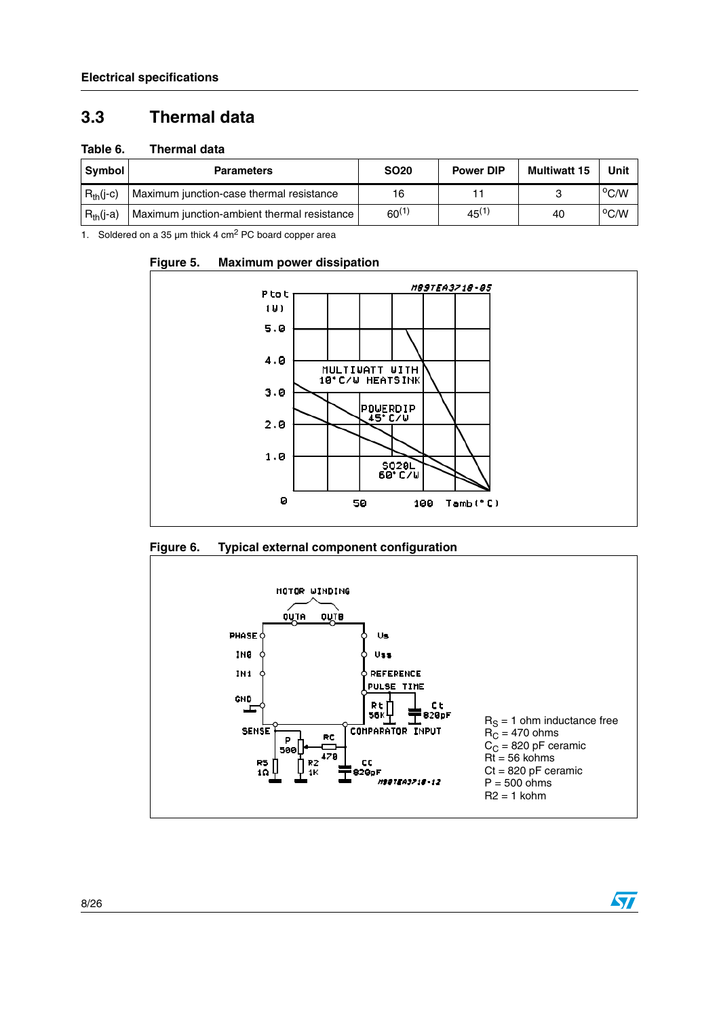## <span id="page-7-0"></span>**3.3 Thermal data**

#### **Table 6. Thermal data**

| Svmbol         | <b>Parameters</b>                           | <b>SO20</b> | <b>Power DIP</b> | <b>Multiwatt 15</b> | Unit           |
|----------------|---------------------------------------------|-------------|------------------|---------------------|----------------|
| $R_{th}$ (j-c) | Maximum junction-case thermal resistance    | 16          |                  |                     | $\rm ^{o}$ C/W |
| $R_{th}$ (j-a) | Maximum junction-ambient thermal resistance | $60^{(1)}$  | $45^{(1)}$       | 40                  | $^{\circ}$ C/W |

1. Soldered on a 35  $\mu$ m thick 4 cm<sup>2</sup> PC board copper area



50

100

Tamb<sup>(°C)</sup>

#### **Figure 5. Maximum power dissipation**

<span id="page-7-1"></span>

Ø



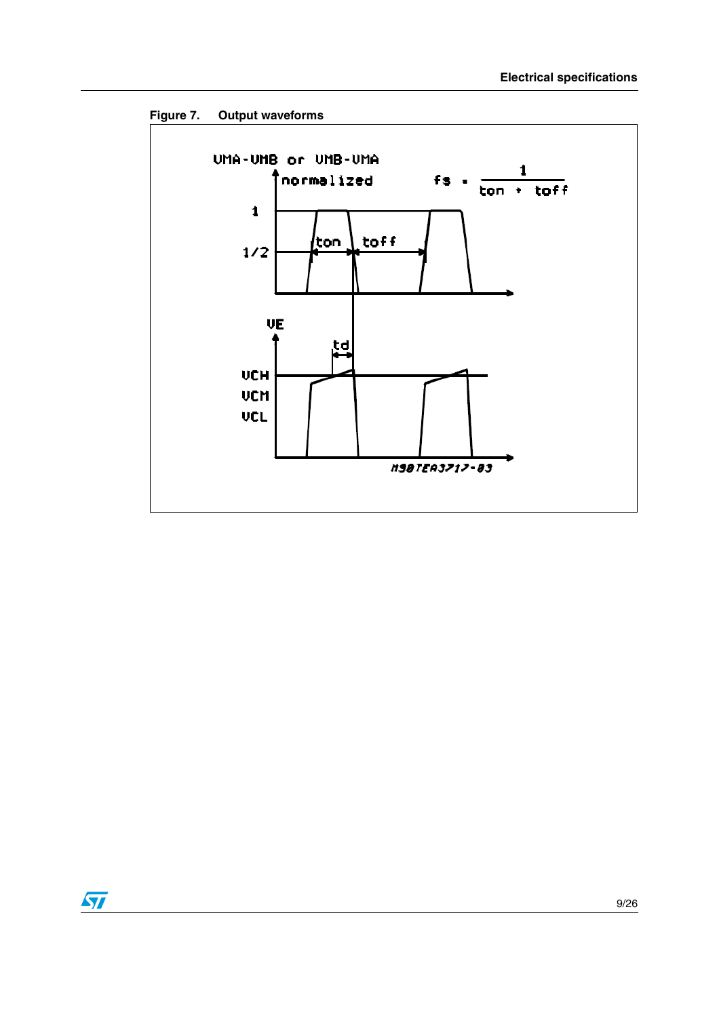

<span id="page-8-0"></span>**Figure 7. Output waveforms**

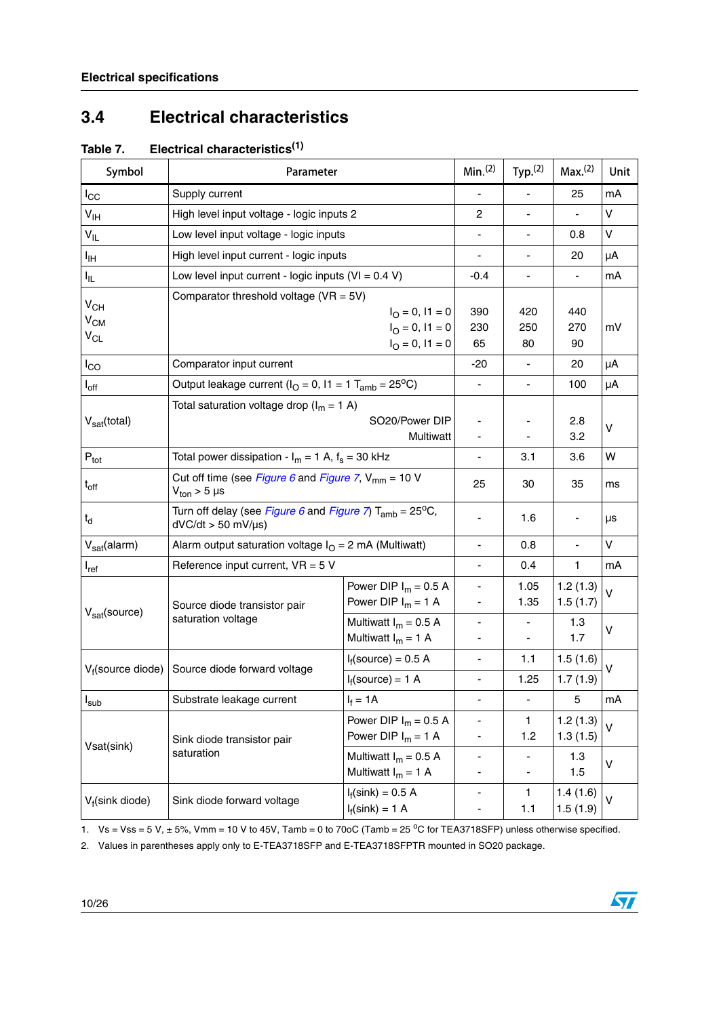## <span id="page-9-0"></span>**3.4 Electrical characteristics**

| Symbol                      | Parameter                                                                                                       |                              | Min. <sup>(2)</sup>          | Typ. <sup>(2)</sup> | Max. <sup>(2)</sup> | Unit         |  |
|-----------------------------|-----------------------------------------------------------------------------------------------------------------|------------------------------|------------------------------|---------------------|---------------------|--------------|--|
| $I_{\rm CC}$                | Supply current                                                                                                  |                              |                              |                     | 25                  | mA           |  |
| $V_{\text{IH}}$             | High level input voltage - logic inputs 2                                                                       |                              | $\overline{c}$               | -                   |                     | v            |  |
| $V_{\parallel L}$           | Low level input voltage - logic inputs                                                                          |                              | $\qquad \qquad \blacksquare$ | -                   | 0.8                 | V            |  |
| ŀщ                          | High level input current - logic inputs                                                                         |                              |                              | -                   | 20                  | μA           |  |
| Ι'n.                        | Low level input current - logic inputs $(VI = 0.4 V)$                                                           |                              | $-0.4$                       | -                   |                     | mA           |  |
| $V_{CH}$                    | Comparator threshold voltage ( $VR = 5V$ )                                                                      |                              |                              |                     |                     |              |  |
| $V_{CM}$                    |                                                                                                                 | $I_{\Omega} = 0$ , $I_1 = 0$ | 390                          | 420                 | 440                 |              |  |
| $V_{CL}$                    |                                                                                                                 | $I_{\odot} = 0, I1 = 0$      | 230                          | 250                 | 270                 | mV           |  |
|                             |                                                                                                                 | $I_{\odot} = 0, I1 = 0$      | 65                           | 80                  | 90                  |              |  |
| $I_{CO}$                    | Comparator input current                                                                                        |                              | $-20$                        |                     | 20                  | μA           |  |
| $I_{\mathsf{off}}$          | Output leakage current ( $IO = 0$ , $11 = 1$ T <sub>amb</sub> = 25 <sup>o</sup> C)                              |                              |                              |                     | 100                 | μA           |  |
|                             | Total saturation voltage drop ( $I_m = 1$ A)                                                                    |                              |                              |                     |                     |              |  |
| V <sub>sat</sub> (total)    | SO20/Power DIP                                                                                                  |                              |                              |                     | 2.8                 | $\mathsf{V}$ |  |
|                             |                                                                                                                 | Multiwatt                    |                              |                     | 3.2                 |              |  |
| $\mathsf{P}_{\mathsf{tot}}$ | Total power dissipation - $I_m = 1$ A, $f_s = 30$ kHz                                                           |                              |                              | 3.1                 | 3.6                 | W            |  |
| $t_{off}$                   | Cut off time (see Figure 6 and Figure 7, $V_{mm}$ = 10 V                                                        |                              | 25                           | 30                  | 35                  | ms           |  |
|                             | $V_{\text{ton}}$ > 5 µs                                                                                         |                              |                              |                     |                     |              |  |
| $t_d$                       | Turn off delay (see Figure 6 and Figure 7) T <sub>amb</sub> = 25 <sup>o</sup> C,<br>$dVC/dt > 50$ mV/ $\mu s$ ) |                              |                              | 1.6                 |                     | μs           |  |
| $V_{sat}$ (alarm)           | Alarm output saturation voltage $IO = 2$ mA (Multiwatt)                                                         |                              | $\overline{\phantom{0}}$     | 0.8                 |                     | $\vee$       |  |
| $I_{ref}$                   | Reference input current, $VR = 5 V$                                                                             |                              |                              | 0.4                 | 1                   | mA           |  |
|                             |                                                                                                                 | Power DIP $I_m = 0.5 A$      | $\qquad \qquad \blacksquare$ | 1.05                | 1.2(1.3)            | $\vee$       |  |
|                             | Source diode transistor pair                                                                                    | Power DIP $I_m = 1$ A        |                              | 1.35                | 1.5(1.7)            |              |  |
| V <sub>sat</sub> (source)   | saturation voltage                                                                                              | Multiwatt $I_m = 0.5$ A      |                              |                     | 1.3                 |              |  |
|                             |                                                                                                                 | Multiwatt $I_m = 1$ A        |                              | ٠                   | 1.7                 | V            |  |
|                             | Source diode forward voltage                                                                                    | $I_f$ (source) = 0.5 A       | $\blacksquare$               | 1.1                 | 1.5(1.6)            | v            |  |
| $V_f$ (source diode)        |                                                                                                                 | $I_f$ (source) = 1 A         | $\overline{\phantom{0}}$     | 1.25                | 1.7(1.9)            |              |  |
| $I_{sub}$                   | Substrate leakage current                                                                                       | $I_f = 1A$                   |                              |                     | 5                   | mA           |  |
|                             |                                                                                                                 | Power DIP $I_m = 0.5 A$      | $\overline{\phantom{0}}$     | 1.                  | 1.2(1.3)            | v            |  |
|                             | Sink diode transistor pair                                                                                      | Power DIP $I_m = 1$ A        |                              | 1.2                 | 1.3(1.5)            |              |  |
| Vsat(sink)                  | saturation                                                                                                      | Multiwatt $I_m = 0.5$ A      |                              |                     | 1.3                 | v            |  |
|                             |                                                                                                                 | Multiwatt $I_m = 1$ A        |                              |                     | 1.5                 |              |  |
| V <sub>f</sub> (sink diode) | Sink diode forward voltage                                                                                      | $I_f(\text{sink}) = 0.5 A$   | ۰                            | 1.                  | 1.4(1.6)            | v            |  |
|                             |                                                                                                                 | $I_f(\text{sink}) = 1$ A     |                              | 1.1                 | 1.5(1.9)            |              |  |

**Table 7. Electrical characteristics(1)**

1.  $Vs = Vss = 5 V, \pm 5%$ , Vmm = 10 V to 45V, Tamb = 0 to 70oC (Tamb = 25 °C for TEA3718SFP) unless otherwise specified.

<span id="page-9-1"></span>2. Values in parentheses apply only to E-TEA3718SFP and E-TEA3718SFPTR mounted in SO20 package.

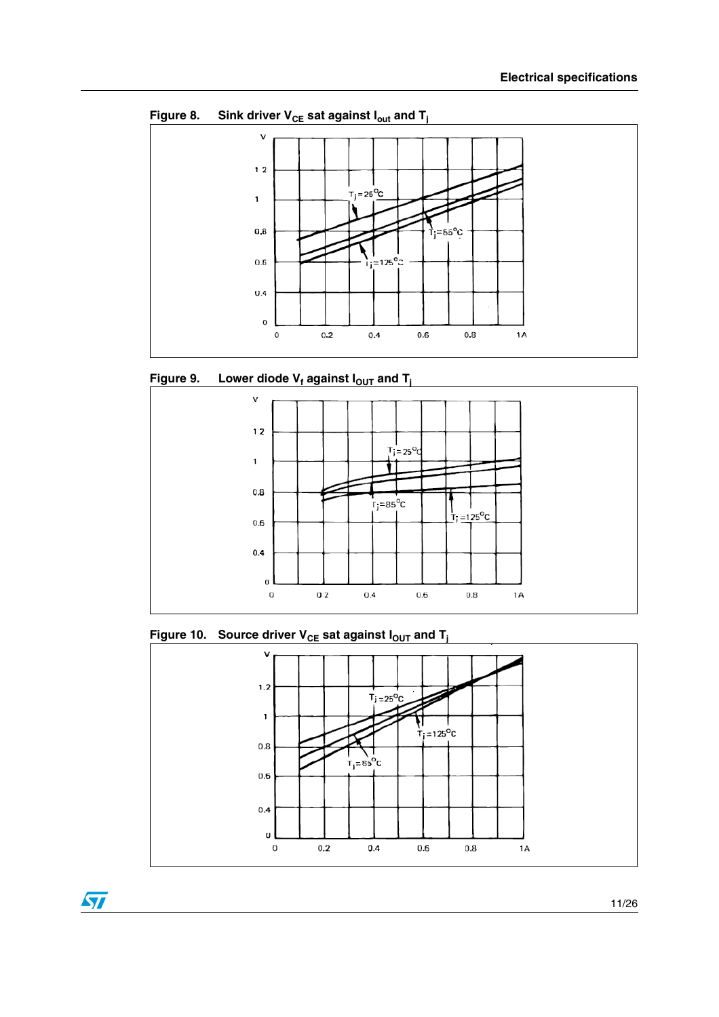

Figure 8. Sink driver  $V_{CE}$  sat against  $I_{out}$  and  $T_i$ 





**Figure 10.** Source driver  $V_{CE}$  sat against  $I_{OUT}$  and  $T_i$ 

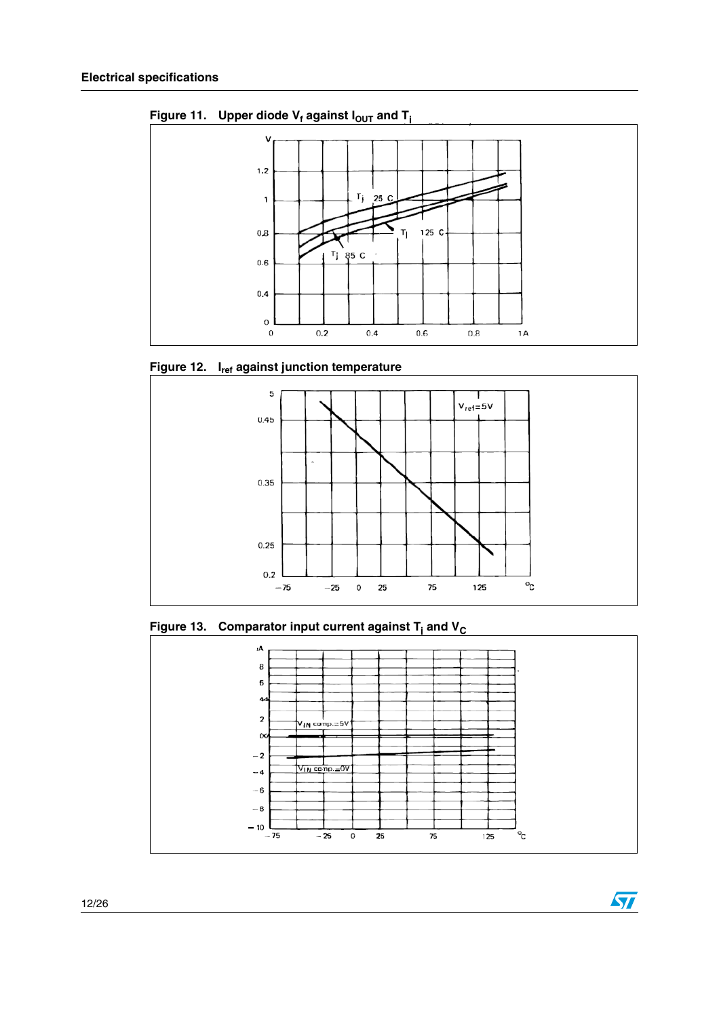

Figure 11. Upper diode  $V_f$  against  $I_{OUT}$  and  $T_i$ 





**Figure 13. Comparator input current against T<sub>i</sub> and V<sub>C</sub>** 



 $\sqrt{2}$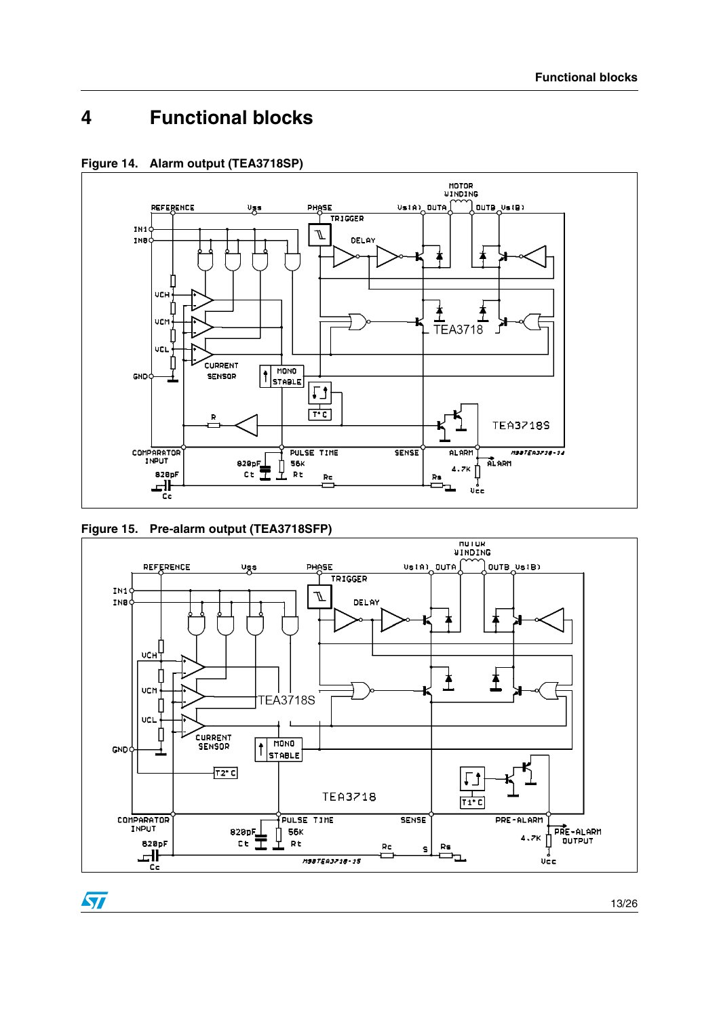# <span id="page-12-0"></span>**4 Functional blocks**







ST

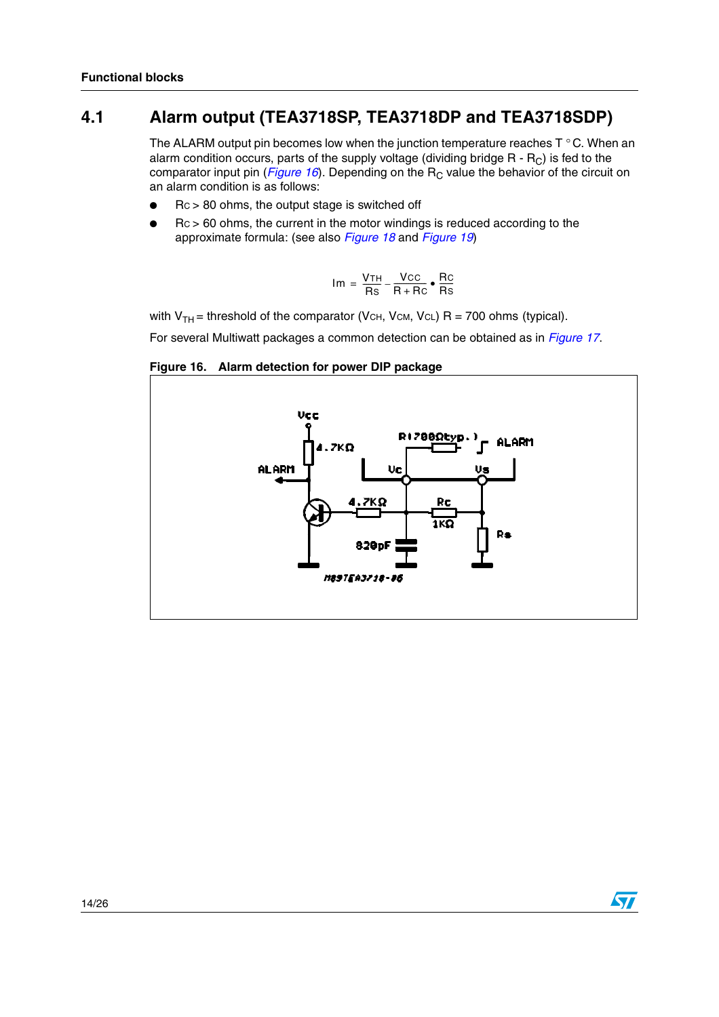## <span id="page-13-0"></span>**4.1 Alarm output (TEA3718SP, TEA3718DP and TEA3718SDP)**

The ALARM output pin becomes low when the junction temperature reaches  $T \circ C$ . When an alarm condition occurs, parts of the supply voltage (dividing bridge  $R - R_C$ ) is fed to the comparator input pin ([Figure](#page-13-1) 16). Depending on the  $R<sub>C</sub>$  value the behavior of the circuit on an alarm condition is as follows:

- $Rc > 80$  ohms, the output stage is switched off
- $Rc > 60$  ohms, the current in the motor windings is reduced according to the approximate formula: (see also [Figure](#page-15-1) 18 and Figure 19)

$$
Im = \frac{VTH}{Rs} - \frac{VCC}{R+RC} \cdot \frac{RC}{Rs}
$$

with  $V_{TH}$  = threshold of the comparator (VCH, VCM, VCL) R = 700 ohms (typical).

For several Multiwatt packages a common detection can be obtained as in [Figure](#page-14-3) 17.

#### <span id="page-13-1"></span>**Figure 16. Alarm detection for power DIP package**

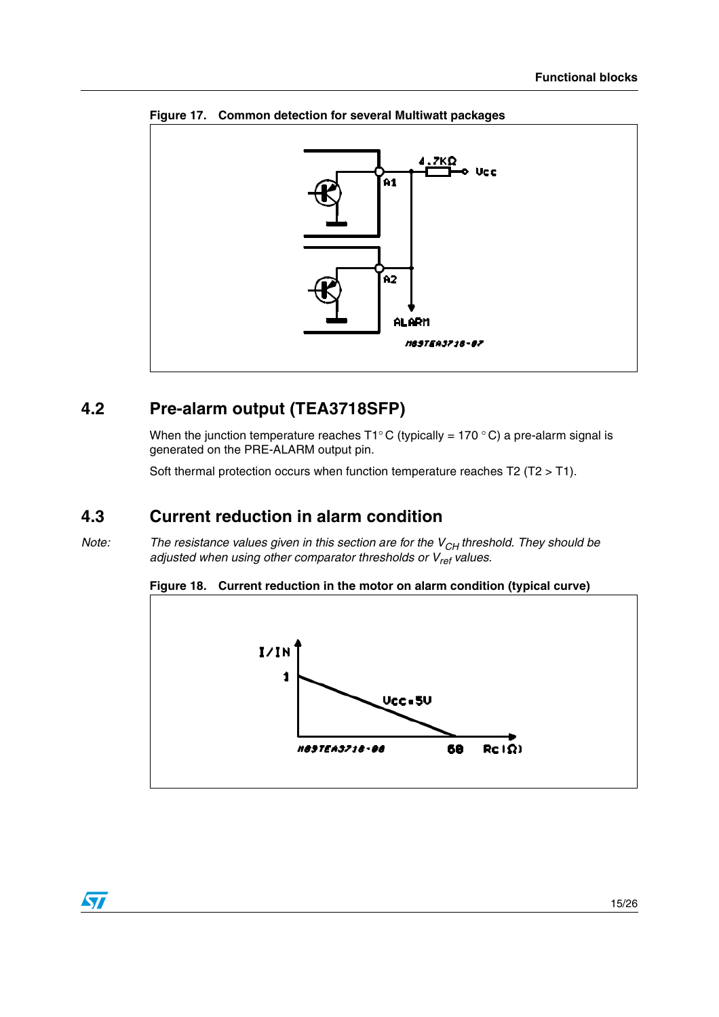

<span id="page-14-3"></span>**Figure 17. Common detection for several Multiwatt packages**

## <span id="page-14-0"></span>**4.2 Pre-alarm output (TEA3718SFP)**

When the junction temperature reaches T1°C (typically = 170 °C) a pre-alarm signal is generated on the PRE-ALARM output pin.

Soft thermal protection occurs when function temperature reaches T2 (T2 > T1).

## <span id="page-14-1"></span>**4.3 Current reduction in alarm condition**

Note: The resistance values given in this section are for the  $V_{CH}$  threshold. They should be adjusted when using other comparator thresholds or  $V_{ref}$  values.

<span id="page-14-2"></span>



 $\overline{\mathbf{v}}$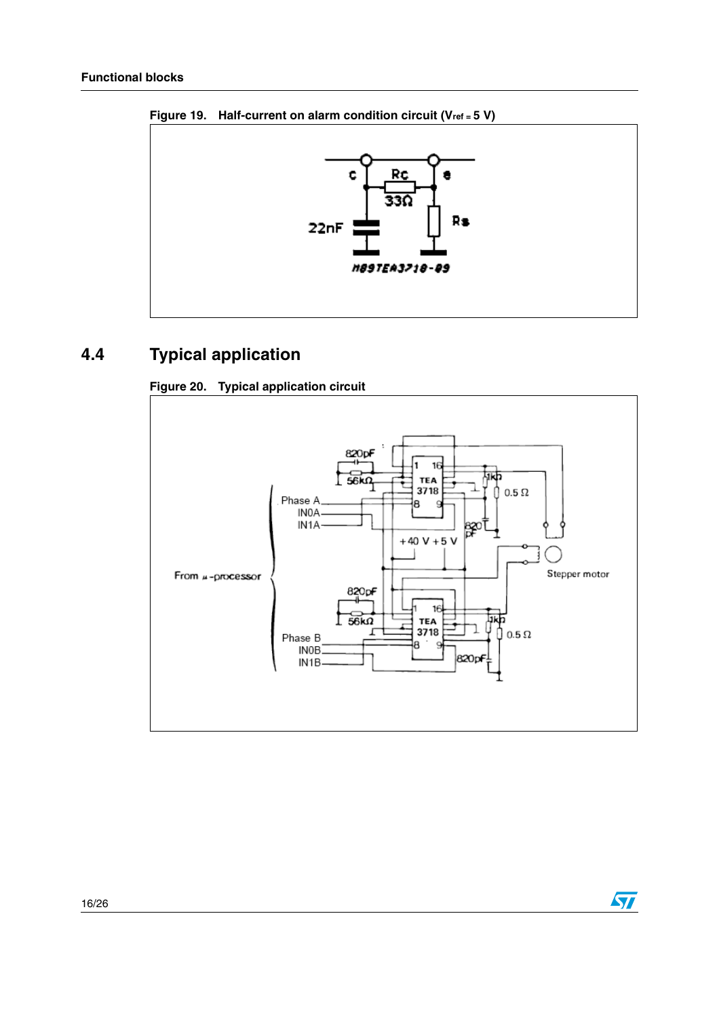

<span id="page-15-1"></span>**Figure 19. Half-current on alarm condition circuit (Vref = 5 V)**

# <span id="page-15-0"></span>**4.4 Typical application**



**Figure 20. Typical application circuit**

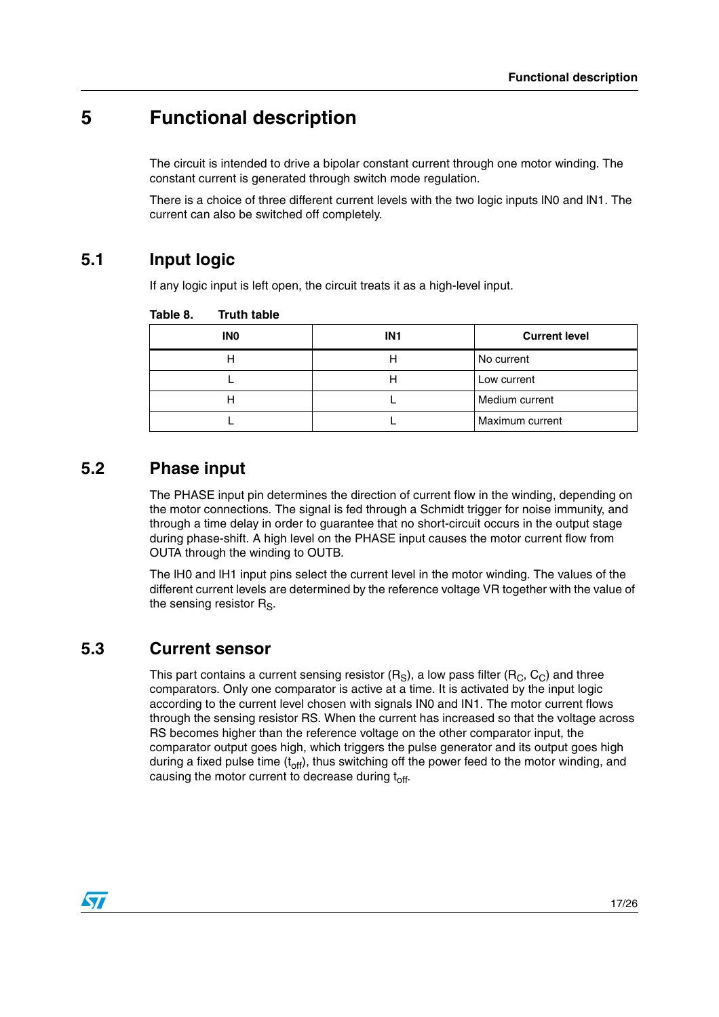# <span id="page-16-0"></span>**5 Functional description**

The circuit is intended to drive a bipolar constant current through one motor winding. The constant current is generated through switch mode regulation.

There is a choice of three different current levels with the two logic inputs lN0 and lN1. The current can also be switched off completely.

## <span id="page-16-1"></span>**5.1 Input logic**

If any logic input is left open, the circuit treats it as a high-level input.

| <b>INO</b> | IN <sub>1</sub> | <b>Current level</b> |
|------------|-----------------|----------------------|
|            |                 | No current           |
|            |                 | Low current          |
|            |                 | Medium current       |
|            |                 | Maximum current      |

<span id="page-16-4"></span>Table 8. **Truth table** 

## <span id="page-16-2"></span>**5.2 Phase input**

The PHASE input pin determines the direction of current flow in the winding, depending on the motor connections. The signal is fed through a Schmidt trigger for noise immunity, and through a time delay in order to guarantee that no short-circuit occurs in the output stage during phase-shift. A high level on the PHASE input causes the motor current flow from OUTA through the winding to OUTB.

The lH0 and lH1 input pins select the current level in the motor winding. The values of the different current levels are determined by the reference voltage VR together with the value of the sensing resistor  $R_{\rm S}$ .

## <span id="page-16-3"></span>**5.3 Current sensor**

This part contains a current sensing resistor  $(R_S)$ , a low pass filter  $(R_C, C_C)$  and three comparators. Only one comparator is active at a time. It is activated by the input logic according to the current level chosen with signals IN0 and IN1. The motor current flows through the sensing resistor RS. When the current has increased so that the voltage across RS becomes higher than the reference voltage on the other comparator input, the comparator output goes high, which triggers the pulse generator and its output goes high during a fixed pulse time  $(t_{\text{off}})$ , thus switching off the power feed to the motor winding, and causing the motor current to decrease during  $t_{off}$ .

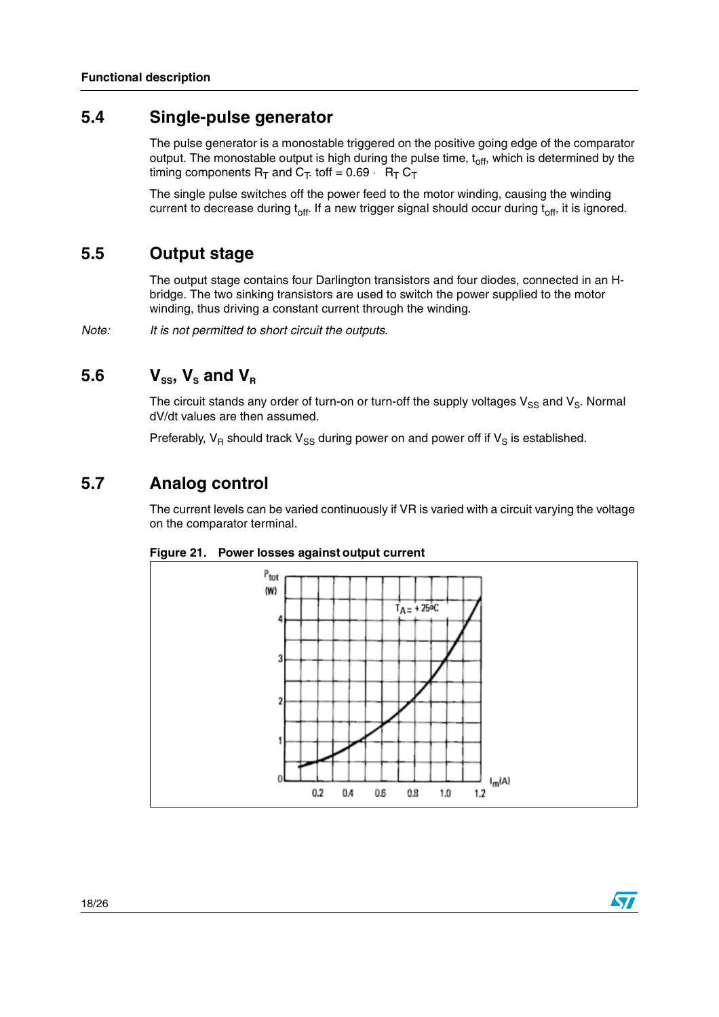#### <span id="page-17-0"></span>**5.4 Single-pulse generator**

The pulse generator is a monostable triggered on the positive going edge of the comparator output. The monostable output is high during the pulse time,  $t<sub>off</sub>$ , which is determined by the timing components  $R_T$  and  $C_T$  toff = 0.69  $\cdot$   $R_T C_T$ 

The single pulse switches off the power feed to the motor winding, causing the winding current to decrease during  $t_{off}$ . If a new trigger signal should occur during  $t_{off}$ , it is ignored.

#### <span id="page-17-1"></span>**5.5 Output stage**

The output stage contains four Darlington transistors and four diodes, connected in an Hbridge. The two sinking transistors are used to switch the power supplied to the motor winding, thus driving a constant current through the winding.

Note: It is not permitted to short circuit the outputs.

## <span id="page-17-2"></span>5.6  $V_{ss}$ ,  $V_s$  and  $V_R$

The circuit stands any order of turn-on or turn-off the supply voltages  $V_{SS}$  and  $V_{S}$ . Normal dV/dt values are then assumed.

Preferably,  $V_R$  should track  $V_{SS}$  during power on and power off if  $V_S$  is established.

### <span id="page-17-3"></span>**5.7 Analog control**

The current levels can be varied continuously if VR is varied with a circuit varying the voltage on the comparator terminal.





 $\sqrt{2}$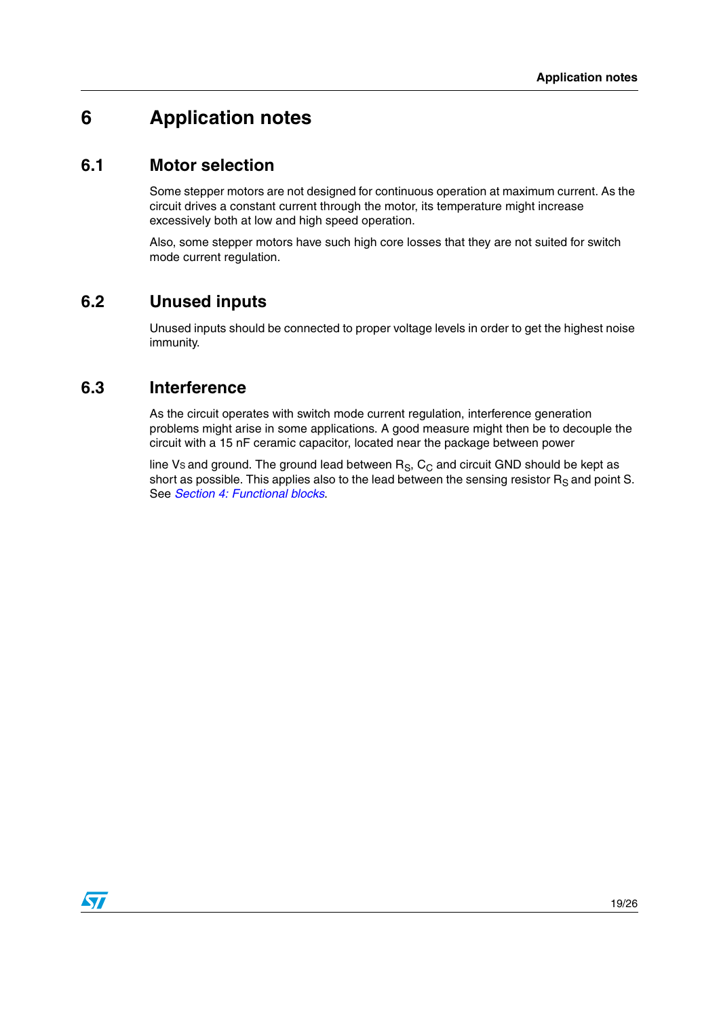## <span id="page-18-0"></span>**6 Application notes**

#### <span id="page-18-1"></span>**6.1 Motor selection**

Some stepper motors are not designed for continuous operation at maximum current. As the circuit drives a constant current through the motor, its temperature might increase excessively both at low and high speed operation.

Also, some stepper motors have such high core losses that they are not suited for switch mode current regulation.

### <span id="page-18-2"></span>**6.2 Unused inputs**

Unused inputs should be connected to proper voltage levels in order to get the highest noise immunity.

#### <span id="page-18-3"></span>**6.3 Interference**

As the circuit operates with switch mode current regulation, interference generation problems might arise in some applications. A good measure might then be to decouple the circuit with a 15 nF ceramic capacitor, located near the package between power

line Vs and ground. The ground lead between  $R_S$ ,  $C_C$  and circuit GND should be kept as short as possible. This applies also to the lead between the sensing resistor  $R_S$  and point S. See Section [4: Functional blocks](#page-12-0).

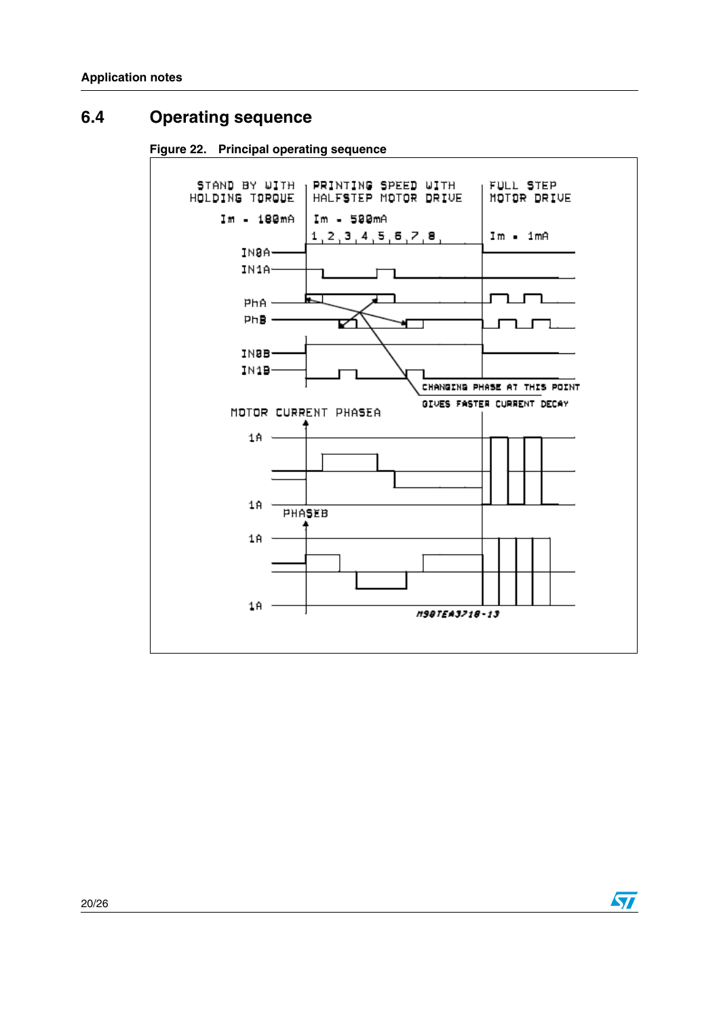## <span id="page-19-0"></span>**6.4 Operating sequence**

**Figure 22. Principal operating sequence**



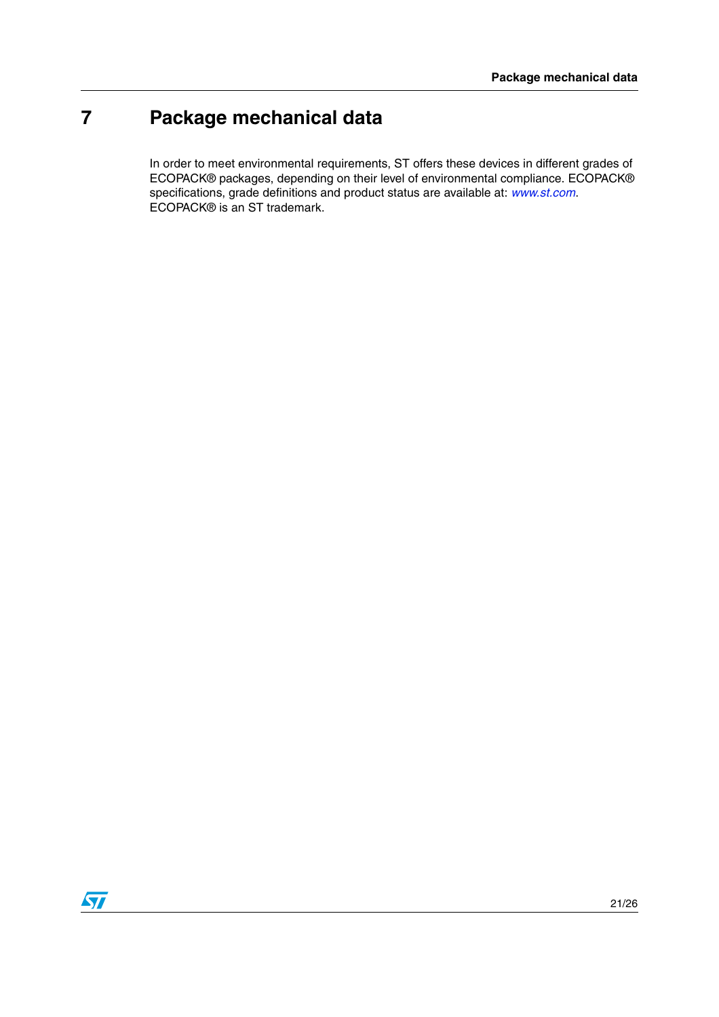# <span id="page-20-0"></span>**7 Package mechanical data**

In order to meet environmental requirements, ST offers these devices in different grades of ECOPACK® packages, depending on their level of environmental compliance. ECOPACK® specifications, grade definitions and product status are available at: www.st.com. ECOPACK® is an ST trademark.

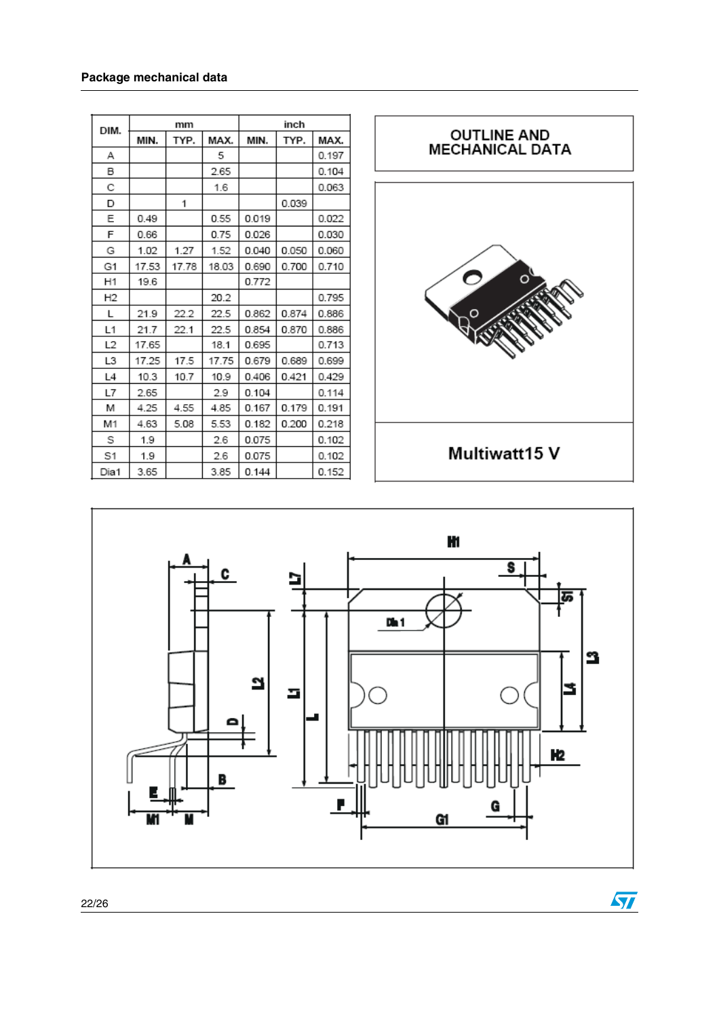| DIM.           | mm    |       | inch  |       |       |       |
|----------------|-------|-------|-------|-------|-------|-------|
|                | MIN.  | TYP.  | MAX.  | MIN.  | TYP.  | MAX.  |
| А              |       |       | 5     |       |       | 0.197 |
| B              |       |       | 2.65  |       |       | 0.104 |
| С              |       |       | 1.6   |       |       | 0.063 |
| D              |       | 1     |       |       | 0.039 |       |
| Ε              | 0.49  |       | 0.55  | 0.019 |       | 0.022 |
| F              | 0.66  |       | 0.75  | 0.026 |       | 0.030 |
| G              | 1.02  | 1.27  | 1.52  | 0.040 | 0.050 | 0.060 |
| G1             | 17.53 | 17.78 | 18.03 | 0.690 | 0.700 | 0.710 |
| H1             | 19.6  |       |       | 0.772 |       |       |
| H <sub>2</sub> |       |       | 20.2  |       |       | 0.795 |
| L              | 21.9  | 22.2  | 22.5  | 0.862 | 0.874 | 0.886 |
| L1             | 21.7  | 22.1  | 22.5  | 0.854 | 0.870 | 0.886 |
| L <sub>2</sub> | 17.65 |       | 18.1  | 0.695 |       | 0.713 |
| L3             | 17.25 | 17.5  | 17.75 | 0.679 | 0.689 | 0.699 |
| L4             | 10.3  | 10.7  | 10.9  | 0.406 | 0.421 | 0.429 |
| L7             | 2.65  |       | 2.9   | 0.104 |       | 0.114 |
| M              | 4.25  | 4.55  | 4.85  | 0.167 | 0.179 | 0.191 |
| M1             | 4.63  | 5.08  | 5.53  | 0.182 | 0.200 | 0.218 |
| S              | 1.9   |       | 2.6   | 0.075 |       | 0.102 |
| S1             | 1.9   |       | 2.6   | 0.075 |       | 0.102 |
| Dia1           | 3.65  |       | 3.85  | 0.144 |       | 0.152 |



 $\sqrt{2}$ 

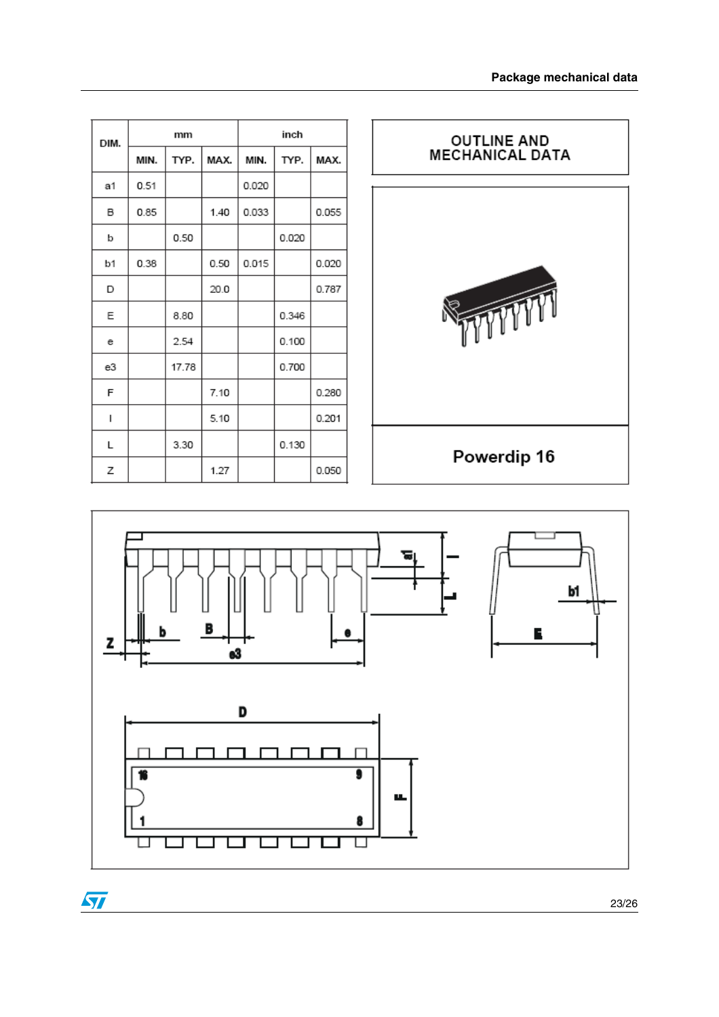| DIM. | mm   |       | inch |       |       |       |
|------|------|-------|------|-------|-------|-------|
|      | MIN. | TYP.  | MAX. | MIN.  | TYP.  | MAX.  |
| a1   | 0.51 |       |      | 0.020 |       |       |
| B    | 0.85 |       | 1.40 | 0.033 |       | 0.055 |
| b    |      | 0.50  |      |       | 0.020 |       |
| b1   | 0.38 |       | 0.50 | 0.015 |       | 0.020 |
| D    |      |       | 20.0 |       |       | 0.787 |
| Ε    |      | 8.80  |      |       | 0.346 |       |
| е    |      | 2.54  |      |       | 0.100 |       |
| e3   |      | 17.78 |      |       | 0.700 |       |
| F    |      |       | 7.10 |       |       | 0.280 |
| I    |      |       | 5.10 |       |       | 0.201 |
| L    |      | 3.30  |      |       | 0.130 |       |
| Z    |      |       | 1.27 |       |       | 0.050 |



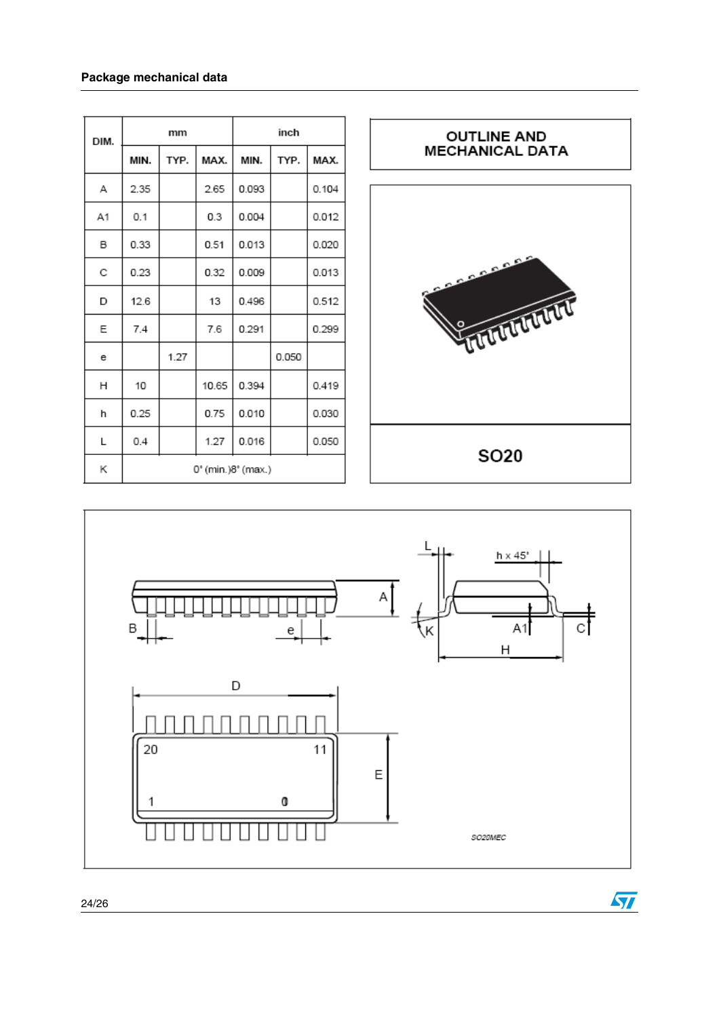#### **Package mechanical data**

| DIM. |                    | mm   |       |       | inch  |       |
|------|--------------------|------|-------|-------|-------|-------|
|      | MIN.               | TYP. | MAX.  | MIN.  | TYP.  | MAX.  |
| А    | 2.35               |      | 2.65  | 0.093 |       | 0.104 |
| A1   | 0.1                |      | 0.3   | 0.004 |       | 0.012 |
| в    | 0.33               |      | 0.51  | 0.013 |       | 0.020 |
| C    | 0.23               |      | 0.32  | 0.009 |       | 0.013 |
| D    | 12.6               |      | 13    | 0.496 |       | 0.512 |
| Ε    | 7.4                |      | 7.6   | 0.291 |       | 0.299 |
| е    |                    | 1.27 |       |       | 0.050 |       |
| н    | 10                 |      | 10.65 | 0.394 |       | 0.419 |
| h    | 0.25               |      | 0.75  | 0.010 |       | 0.030 |
| L    | 0.4                |      | 1.27  | 0.016 |       | 0.050 |
| Κ    | 0° (min.)8° (max.) |      |       |       |       |       |



 $\sqrt{2}$ 

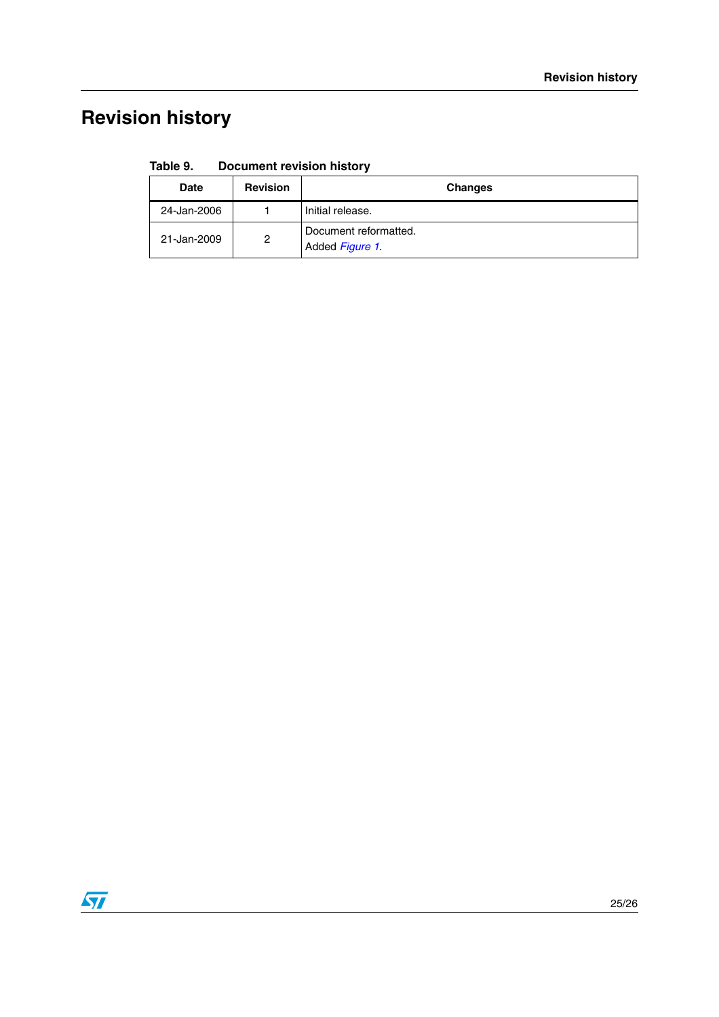# <span id="page-24-0"></span>**Revision history**

| Table 9. | <b>Document revision history</b> |  |  |
|----------|----------------------------------|--|--|
|----------|----------------------------------|--|--|

| <b>Date</b> | <b>Revision</b> | <b>Changes</b>                           |
|-------------|-----------------|------------------------------------------|
| 24-Jan-2006 |                 | Initial release.                         |
| 21-Jan-2009 | 2               | Document reformatted.<br>Added Figure 1. |